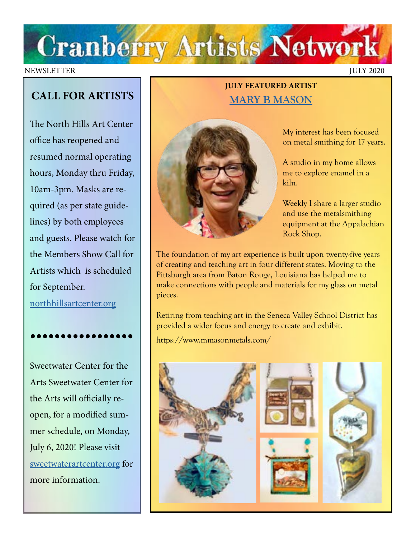

#### NEWSLETTER JULY 2020

## **CALL FOR ARTISTS**

The North Hills Art Center office has reopened and resumed normal operating hours, Monday thru Friday, 10am-3pm. Masks are required (as per state guidelines) by both employees and guests. Please watch for the Members Show Call for Artists which is scheduled for September. [northhillsartcenter.org](http://northhillsartcenter.org)

•••••••••••••••••

Sweetwater Center for the Arts Sweetwater Center for the Arts will officially reopen, for a modified summer schedule, on Monday, July 6, 2020! Please visit [sweetwaterartcenter.org](http://sweetwaterartcenter.org) for more information.

### **JULY FEATURED ARTIST [MARY B MASON](https://www.mmasonmetals.com/)**



My interest has been focused on metal smithing for 17 years.

A studio in my home allows me to explore enamel in a kiln.

Weekly I share a larger studio and use the metalsmithing equipment at the Appalachian Rock Shop.

The foundation of my art experience is built upon twenty-five years of creating and teaching art in four different states. Moving to the Pittsburgh area from Baton Rouge, Louisiana has helped me to make connections with people and materials for my glass on metal pieces.

Retiring from teaching art in the Seneca Valley School District has provided a wider focus and energy to create and exhibit.

https://www.mmasonmetals.com/

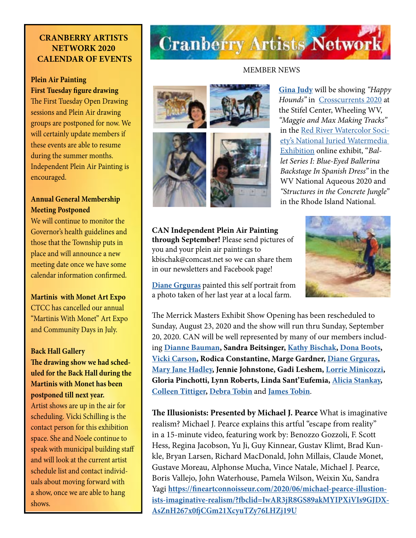#### **CRANBERRY ARTISTS NETWORK 2020 CALENDAR OF EVENTS**

#### **Plein Air Painting First Tuesday figure drawing**

The First Tuesday Open Drawing sessions and Plein Air drawing groups are postponed for now. We will certainly update members if these events are able to resume during the summer months. Independent Plein Air Painting is encouraged.

#### **Annual General Membership Meeting Postponed**

We will continue to monitor the Governor's health guidelines and those that the Township puts in place and will announce a new meeting date once we have some calendar information confirmed.

**Martinis with Monet Art Expo** CTCC has cancelled our annual "Martinis With Monet" Art Expo and Community Days in July.

#### **Back Hall Gallery The drawing show we had scheduled for the Back Hall during the Martinis with Monet has been postponed till next year.**

Artist shows are up in the air for scheduling. Vicki Schilling is the contact person for this exhibition space. She and Noele continue to speak with municipal building staff and will look at the current artist schedule list and contact individuals about moving forward with a show, once we are able to hang shows.

## **Cranberry Artists Network**

#### MEMBER NEWS



**[Gina Judy](https://www.ginajudyfineart.com/)** will be showing *"Happy Hounds"* in [Crosscurrents 2020](https://oionline.com/events/crosscurrents-art-exhibition/) at the Stifel Center, Wheeling WV, *"Maggie and Max Making Tracks"*  in the [Red River Watercolor Soci](https://www.hcscconline.org/rrws2020.html?fbclid=IwAR2CI8KfSoKz09pfx4_SrBtWIcWhqhpBg2Rd-IJ3px8XV7zjJY9BYd3K_9k)[ety's National Juried Watermedia](https://www.hcscconline.org/rrws2020.html?fbclid=IwAR2CI8KfSoKz09pfx4_SrBtWIcWhqhpBg2Rd-IJ3px8XV7zjJY9BYd3K_9k)  [Exhibition](https://www.hcscconline.org/rrws2020.html?fbclid=IwAR2CI8KfSoKz09pfx4_SrBtWIcWhqhpBg2Rd-IJ3px8XV7zjJY9BYd3K_9k) online exhibit, "*Ballet Series I: Blue-Eyed Ballerina Backstage In Spanish Dress"* in the WV National Aqueous 2020 and *"Structures in the Concrete Jungle"* in the Rhode Island National.

**CAN Independent Plein Air Painting through September!** Please send pictures of you and your plein air paintings to kbischak@comcast.net so we can share them in our newsletters and Facebook page!

**[Diane Grguras](https://www.dianegrguras.com/)** painted this self portrait from a photo taken of her last year at a local farm.

The Merrick Masters Exhibit Show Opening has been rescheduled to Sunday, August 23, 2020 and the show will run thru Sunday, September 20, 2020. CAN will be well represented by many of our members including **[Dianne Bauman,](http://www.diannebauman.com/) Sandra Beitsinger, [Kathy Bischak](https://www.facebook.com/kathy.bischak), [Dona Boots](https://blogger.donabootsart.com/2019/01/welcome-to-dona-boots-art.html), [Vicki Carson](https://fineartamerica.com/profiles/vicki-carson/shop/prints), Rodica Constantine, Marge Gardner, [Diane Grguras](https://www.dianegrguras.com/), [Mary Jane Hadley](https://www.facebook.com/maryjane.hadley), Jennie Johnstone, Gadi Leshem, [Lorrie Minicozzi](https://www.climbingthewalls.net/), Gloria Pinchotti, Lynn Roberts, Linda Sant'Eufemia, [Alicia Stankay](https://www.facebook.com/alicia.stankay), [Colleen Tittiger,](https://www.colleentittiger.com/) [Debra Tobin](http://debratobinart.com)** and **[James Tobin](https://jamestobinart.com/)**.

**The Illusionists: Presented by Michael J. Pearce** What is imaginative realism? Michael J. Pearce explains this artful "escape from reality" in a 15-minute video, featuring work by: Benozzo Gozzoli, F. Scott Hess, Regina Jacobson, Yu Ji, Guy Kinnear, Gustav Klimt, Brad Kunkle, Bryan Larsen, Richard MacDonald, John Millais, Claude Monet, Gustave Moreau, Alphonse Mucha, Vince Natale, Michael J. Pearce, Boris Vallejo, John Waterhouse, Pamela Wilson, Weixin Xu, Sandra Yagi **[https://fineartconnoisseur.com/2020/06/michael-pearce-illustion](https://fineartconnoisseur.com/2020/06/michael-pearce-illustionists-imaginative-realism/?fbclid=IwAR3jR8GS89akMYIPXiVIs9GJDXAsZnH267x0fjCGm21XcyuTZy76LHZj19U)[ists-imaginative-realism/?fbclid=IwAR3jR8GS89akMYIPXiVIs9GJDX-](https://fineartconnoisseur.com/2020/06/michael-pearce-illustionists-imaginative-realism/?fbclid=IwAR3jR8GS89akMYIPXiVIs9GJDXAsZnH267x0fjCGm21XcyuTZy76LHZj19U)[AsZnH267x0fjCGm21XcyuTZy76LHZj19U](https://fineartconnoisseur.com/2020/06/michael-pearce-illustionists-imaginative-realism/?fbclid=IwAR3jR8GS89akMYIPXiVIs9GJDXAsZnH267x0fjCGm21XcyuTZy76LHZj19U)**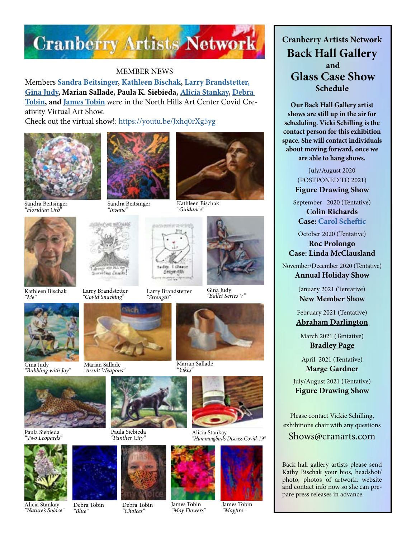

#### MEMBER NEWS

Members **[Sandra Beitsinger](https://www.facebook.com/pages/category/Artist/Artwork-by-Sandra-Beitsinger-1593379080977965/), [Kathleen Bischak](https://www.facebook.com/kathy.bischak), [Larry Brandstetter,](https://www.facebook.com/pages/category/Artist/Larry-Brandstetter-Doodler-379832832491777) [Gina Judy,](https://www.ginajudyfineart.com/) Marian Sallade, Paula K. Siebieda, [Alicia Stankay](https://www.facebook.com/alicia.stankay), [Debra](http://debratobinart.com)  [Tobin](http://debratobinart.com), and [James Tobin](https://jamestobinart.com/)** were in the North Hills Art Center Covid Creativity Virtual Art Show.

Check out the virtual show!: <https://youtu.be/Jxhq0rXg5yg>



Sandra Beitsinger, *"Floridian Orb"*



Kathleen Bischak *"Me"*



Gina Judy *"Bubbling with Joy"*



Paula Siebieda *"Two Leopards"*



Alicia Stankay *"Nature's Solace"*







Sandra Beitsinger *"Insane"*

Larry Brandstetter

ting Leach

Marian Sallade *"Assult Weapons"*

Paula Siebieda<br>"Panther City"

Debra Tobin *"Choices"*



*"Guidance"*

*"Covid Snacking"* Larry Brandstetter *"Strength"*



Gina Judy *"Ballet Series V"*



Marian Sallade *"Yikes"*



*"Panther City"* Alicia Stankay *"Hummingbirds Discuss Covid-19"*



James Tobin *"May Flowers"*



**Cranberry Artists Network Back Hall Gallery and Glass Case Show Schedule** 

**Our Back Hall Gallery artist shows are still up in the air for scheduling. Vicki Schilling is the contact person for this exhibition space. She will contact individuals about moving forward, once we are able to hang shows.**

> July/August 2020 (POSTPONED TO 2021) **Figure Drawing Show**

September 2020 (Tentative)

**[Colin Richards](https://www.colinrichardsart.com/) Case: [Carol Scheftic](http://convergentseries.com/)**

October 2020 (Tentative)

**[Roc Prolongo](https://www.rocprologo.com/) Case: Linda McClausland**

November/December 2020 (Tentative) **Annual Holiday Show**

> January 2021 (Tentative) **New Member Show**

February 2021 (Tentative) **[Abraham Darlington](https://www.facebook.com/abraham.darlington)**

March 2021 (Tentative) **[Bradley Page](https://fireandfumes.com/)**

April 2021 (Tentative) **Marge Gardner**

July/August 2021 (Tentative) **Figure Drawing Show**

Please contact Vickie Schilling, exhibitions chair with any questions

Shows@cranarts.com

Back hall gallery artists please send Kathy Bischak your bios, headshot/ photo, photos of artwork, website and contact info now so she can prepare press releases in advance.



*"Mayfire"*